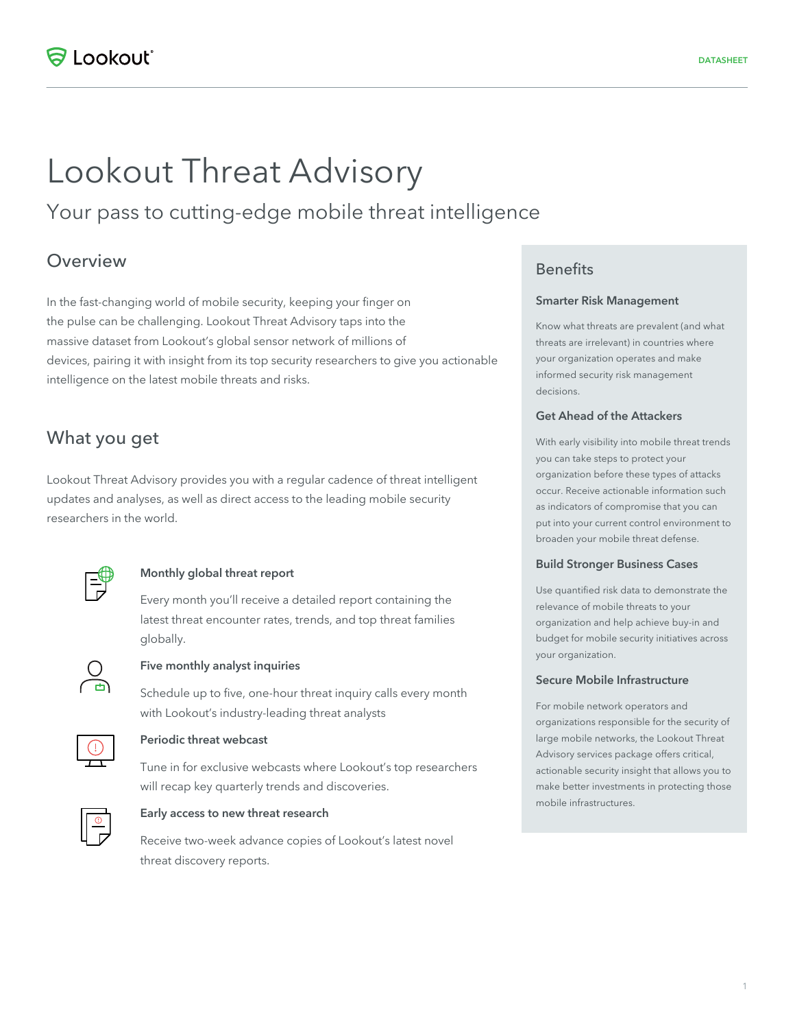# Lookout Threat Advisory

Your pass to cutting-edge mobile threat intelligence

## Overview

In the fast-changing world of mobile security, keeping your finger on the pulse can be challenging. Lookout Threat Advisory taps into the massive dataset from Lookout's global sensor network of millions of devices, pairing it with insight from its top security researchers to give you actionable intelligence on the latest mobile threats and risks.

## What you get

Lookout Threat Advisory provides you with a regular cadence of threat intelligent updates and analyses, as well as direct access to the leading mobile security researchers in the world.



#### Monthly global threat report

Every month you'll receive a detailed report containing the latest threat encounter rates, trends, and top threat families globally.



#### Five monthly analyst inquiries

Schedule up to five, one-hour threat inquiry calls every month with Lookout's industry-leading threat analysts



#### Periodic threat webcast

Tune in for exclusive webcasts where Lookout's top researchers will recap key quarterly trends and discoveries.



#### Early access to new threat research

Receive two-week advance copies of Lookout's latest novel threat discovery reports.

## **Benefits**

#### Smarter Risk Management

Know what threats are prevalent (and what threats are irrelevant) in countries where your organization operates and make informed security risk management decisions.

#### Get Ahead of the Attackers

With early visibility into mobile threat trends you can take steps to protect your organization before these types of attacks occur. Receive actionable information such as indicators of compromise that you can put into your current control environment to broaden your mobile threat defense.

#### Build Stronger Business Cases

Use quantified risk data to demonstrate the relevance of mobile threats to your organization and help achieve buy-in and budget for mobile security initiatives across your organization.

#### Secure Mobile Infrastructure

For mobile network operators and organizations responsible for the security of large mobile networks, the Lookout Threat Advisory services package offers critical, actionable security insight that allows you to make better investments in protecting those mobile infrastructures.